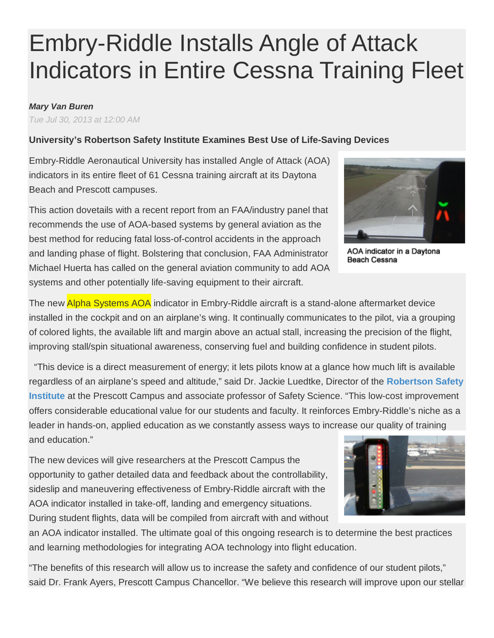# Embry-Riddle Installs Angle of Attack Indicators in Entire Cessna Training Fleet

#### *Mary Van Buren*

*Tue Jul 30, 2013 at 12:00 AM*

## **University's Robertson Safety Institute Examines Best Use of Life-Saving Devices**

Embry-Riddle Aeronautical University has installed Angle of Attack (AOA) indicators in its entire fleet of 61 Cessna training aircraft at its Daytona Beach and Prescott campuses.

This action dovetails with a recent report from an FAA/industry panel that recommends the use of AOA-based systems by general aviation as the best method for reducing fatal loss-of-control accidents in the approach and landing phase of flight. Bolstering that conclusion, FAA Administrator Michael Huerta has called on the general aviation community to add AOA systems and other potentially life-saving equipment to their aircraft.

The new **Alpha Systems AOA** indicator in Embry-Riddle aircraft is a stand-alone aftermarket device installed in the cockpit and on an airplane's wing. It continually communicates to the pilot, via a grouping of colored lights, the available lift and margin above an actual stall, increasing the precision of the flight, improving stall/spin situational awareness, conserving fuel and building confidence in student pilots.

"This device is a direct measurement of energy; it lets pilots know at a glance how much lift is available regardless of an airplane's speed and altitude," said Dr. Jackie Luedtke, Director of the **[Robertson Safety](http://prescott.erau.edu/robertson-safety-institute/index.html)  [Institute](http://prescott.erau.edu/robertson-safety-institute/index.html)** at the Prescott Campus and associate professor of Safety Science. "This low-cost improvement offers considerable educational value for our students and faculty. It reinforces Embry-Riddle's niche as a leader in hands-on, applied education as we constantly assess ways to increase our quality of training and education."

The new devices will give researchers at the Prescott Campus the opportunity to gather detailed data and feedback about the controllability, sideslip and maneuvering effectiveness of Embry-Riddle aircraft with the AOA indicator installed in take-off, landing and emergency situations. During student flights, data will be compiled from aircraft with and without

an AOA indicator installed. The ultimate goal of this ongoing research is to determine the best practices and learning methodologies for integrating AOA technology into flight education.

"The benefits of this research will allow us to increase the safety and confidence of our student pilots," said Dr. Frank Ayers, Prescott Campus Chancellor. "We believe this research will improve upon our stellar



AOA indicator in a Davtona **Beach Cessna**